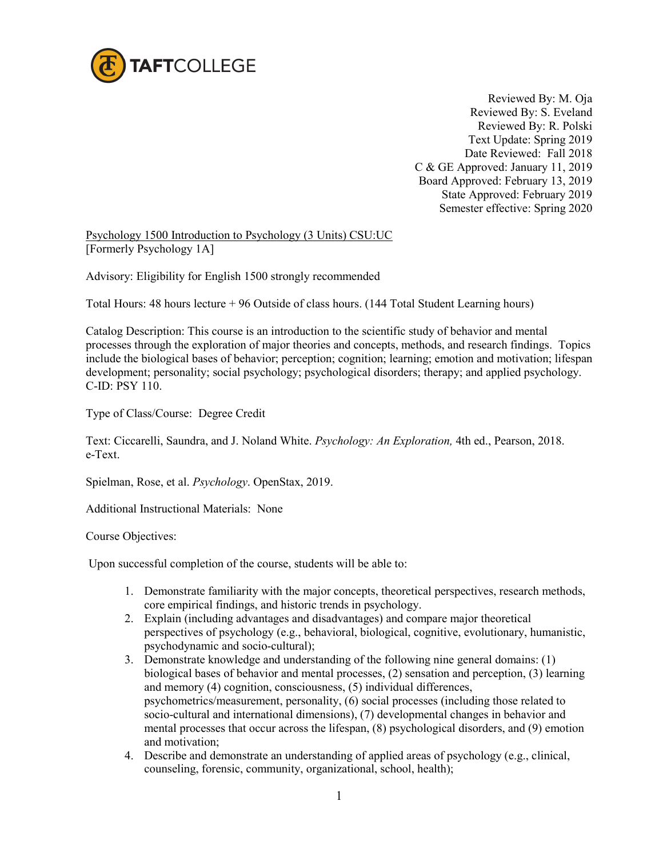

 Reviewed By: M. Oja Reviewed By: S. Eveland Reviewed By: R. Polski Text Update: Spring 2019 Date Reviewed: Fall 2018 C & GE Approved: January 11, 2019 Board Approved: February 13, 2019 State Approved: February 2019 Semester effective: Spring 2020

Psychology 1500 Introduction to Psychology (3 Units) CSU:UC [Formerly Psychology 1A]

Advisory: Eligibility for English 1500 strongly recommended

Total Hours: 48 hours lecture + 96 Outside of class hours. (144 Total Student Learning hours)

Catalog Description: This course is an introduction to the scientific study of behavior and mental processes through the exploration of major theories and concepts, methods, and research findings. Topics include the biological bases of behavior; perception; cognition; learning; emotion and motivation; lifespan development; personality; social psychology; psychological disorders; therapy; and applied psychology. C-ID: PSY 110.

Type of Class/Course: Degree Credit

Text: Ciccarelli, Saundra, and J. Noland White. *Psychology: An Exploration,* 4th ed., Pearson, 2018. e-Text.

Spielman, Rose, et al. *Psychology*. OpenStax, 2019.

Additional Instructional Materials: None

Course Objectives:

Upon successful completion of the course, students will be able to:

- 1. Demonstrate familiarity with the major concepts, theoretical perspectives, research methods, core empirical findings, and historic trends in psychology.
- 2. Explain (including advantages and disadvantages) and compare major theoretical perspectives of psychology (e.g., behavioral, biological, cognitive, evolutionary, humanistic, psychodynamic and socio-cultural);
- 3. Demonstrate knowledge and understanding of the following nine general domains: (1) biological bases of behavior and mental processes, (2) sensation and perception, (3) learning and memory (4) cognition, consciousness, (5) individual differences, psychometrics/measurement, personality, (6) social processes (including those related to socio-cultural and international dimensions), (7) developmental changes in behavior and mental processes that occur across the lifespan, (8) psychological disorders, and (9) emotion and motivation;
- 4. Describe and demonstrate an understanding of applied areas of psychology (e.g., clinical, counseling, forensic, community, organizational, school, health);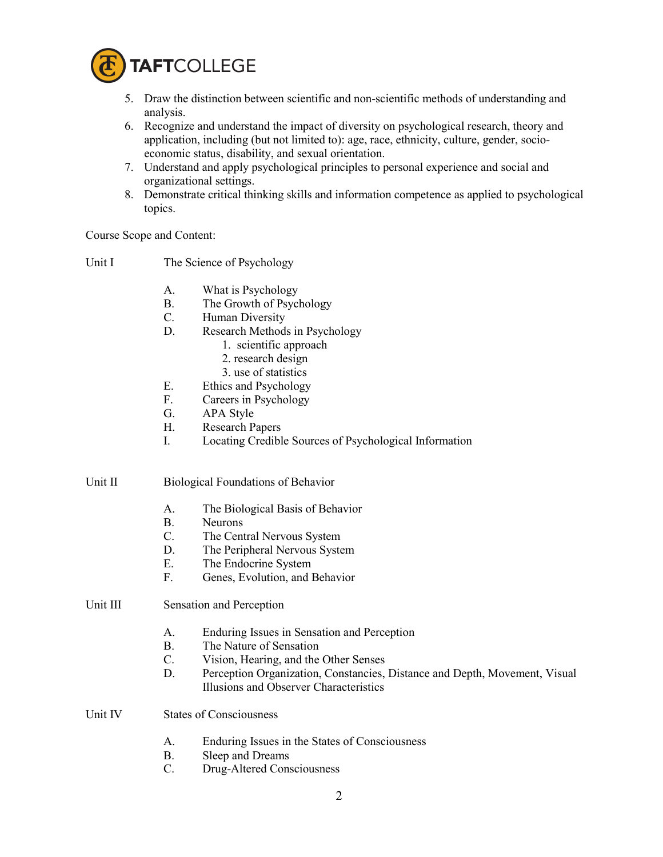

- 5. Draw the distinction between scientific and non-scientific methods of understanding and analysis.
- 6. Recognize and understand the impact of diversity on psychological research, theory and application, including (but not limited to): age, race, ethnicity, culture, gender, socioeconomic status, disability, and sexual orientation.
- 7. Understand and apply psychological principles to personal experience and social and organizational settings.
- 8. Demonstrate critical thinking skills and information competence as applied to psychological topics.

Course Scope and Content:

| Unit I | The Science of Psychology |
|--------|---------------------------|
|--------|---------------------------|

- A. What is Psychology
- B. The Growth of Psychology
- C. Human Diversity
- D. Research Methods in Psychology
	- 1. scientific approach
	- 2. research design
	- 3. use of statistics
- E. Ethics and Psychology
- F. Careers in Psychology
- G. APA Style
- H. Research Papers
- I. Locating Credible Sources of Psychological Information
- Unit II Biological Foundations of Behavior
	- A. The Biological Basis of Behavior
	- B. Neurons
	- C. The Central Nervous System
	- D. The Peripheral Nervous System
	- E. The Endocrine System
	- F. Genes, Evolution, and Behavior
- Unit III Sensation and Perception
	- A. Enduring Issues in Sensation and Perception
	- B. The Nature of Sensation
	- C. Vision, Hearing, and the Other Senses
	- D. Perception Organization, Constancies, Distance and Depth, Movement, Visual Illusions and Observer Characteristics
- Unit IV States of Consciousness
	- A. Enduring Issues in the States of Consciousness
	- B. Sleep and Dreams
	- C. Drug-Altered Consciousness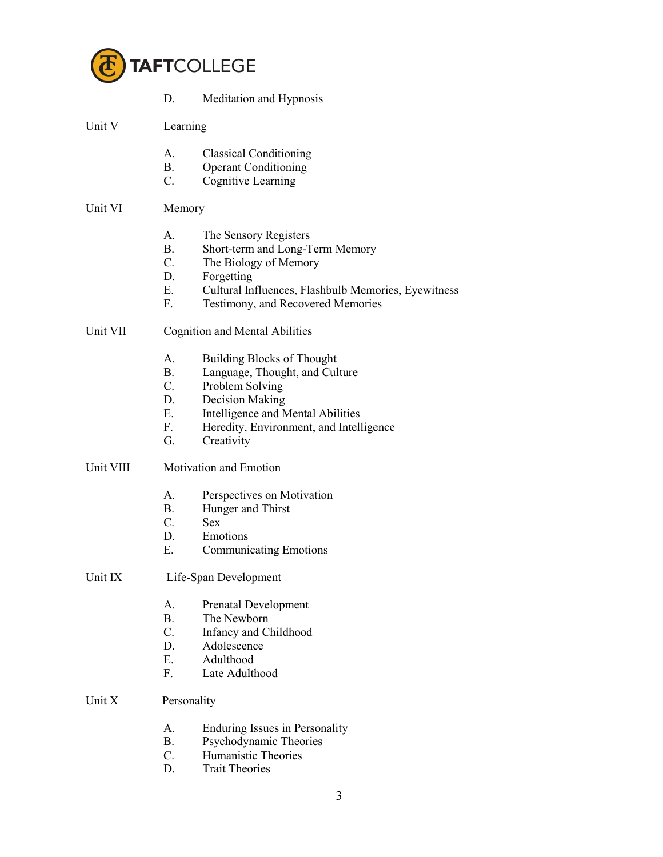

|           | D.                                    | Meditation and Hypnosis                             |  |  |  |
|-----------|---------------------------------------|-----------------------------------------------------|--|--|--|
| Unit V    |                                       | Learning                                            |  |  |  |
|           | $A_{-}$                               | <b>Classical Conditioning</b>                       |  |  |  |
|           | <b>B.</b>                             | <b>Operant Conditioning</b>                         |  |  |  |
|           | C.                                    | Cognitive Learning                                  |  |  |  |
| Unit VI   | Memory                                |                                                     |  |  |  |
|           | A.                                    | The Sensory Registers                               |  |  |  |
|           | <b>B.</b>                             | Short-term and Long-Term Memory                     |  |  |  |
|           | $C_{\cdot}$                           | The Biology of Memory                               |  |  |  |
|           | D.                                    | Forgetting                                          |  |  |  |
|           | Е.                                    | Cultural Influences, Flashbulb Memories, Eyewitness |  |  |  |
|           | F.                                    | Testimony, and Recovered Memories                   |  |  |  |
| Unit VII  | <b>Cognition and Mental Abilities</b> |                                                     |  |  |  |
|           | A.                                    | <b>Building Blocks of Thought</b>                   |  |  |  |
|           | <b>B</b> .                            | Language, Thought, and Culture                      |  |  |  |
|           | $C_{\cdot}$                           | Problem Solving                                     |  |  |  |
|           | D.                                    | Decision Making                                     |  |  |  |
|           | Е.                                    | Intelligence and Mental Abilities                   |  |  |  |
|           | F.                                    | Heredity, Environment, and Intelligence             |  |  |  |
|           | G.                                    | Creativity                                          |  |  |  |
| Unit VIII | Motivation and Emotion                |                                                     |  |  |  |
|           | A.                                    | Perspectives on Motivation                          |  |  |  |
|           | <b>B</b> .                            | Hunger and Thirst                                   |  |  |  |
|           | $C_{\cdot}$                           | <b>Sex</b>                                          |  |  |  |
|           | D.                                    | Emotions                                            |  |  |  |
|           | Е.                                    | <b>Communicating Emotions</b>                       |  |  |  |
| Unit IX   | Life-Span Development                 |                                                     |  |  |  |
|           | А.                                    | <b>Prenatal Development</b>                         |  |  |  |
|           | <b>B.</b>                             | The Newborn                                         |  |  |  |
|           | $C_{\cdot}$                           | Infancy and Childhood                               |  |  |  |
|           | D.                                    | Adolescence                                         |  |  |  |
|           | Е.                                    | Adulthood                                           |  |  |  |
|           | F.                                    | Late Adulthood                                      |  |  |  |
| Unit X    | Personality                           |                                                     |  |  |  |
|           | A.                                    | Enduring Issues in Personality                      |  |  |  |
|           | В.                                    | Psychodynamic Theories                              |  |  |  |
|           | C.                                    | Humanistic Theories                                 |  |  |  |
|           | D.                                    | <b>Trait Theories</b>                               |  |  |  |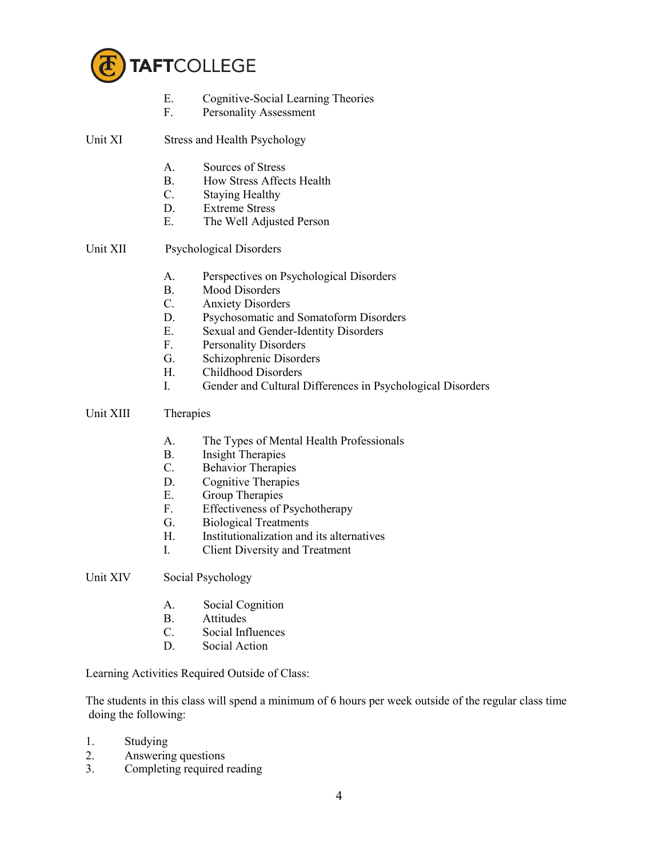

- E. Cognitive-Social Learning Theories
- F. Personality Assessment

| Unit XI | Stress and Health Psychology |
|---------|------------------------------|
|         |                              |

- A. Sources of Stress
- B. How Stress Affects Health
- C. Staying Healthy
- D. Extreme Stress
- E. The Well Adjusted Person

## Unit XII Psychological Disorders

- A. Perspectives on Psychological Disorders
- B. Mood Disorders
- C. Anxiety Disorders
- D. Psychosomatic and Somatoform Disorders
- E. Sexual and Gender-Identity Disorders
- F. Personality Disorders
- G. Schizophrenic Disorders
- H. Childhood Disorders
- I. Gender and Cultural Differences in Psychological Disorders

## Unit XIII Therapies

- A. The Types of Mental Health Professionals
- B. Insight Therapies
- C. Behavior Therapies
- D. Cognitive Therapies
- E. Group Therapies
- F. Effectiveness of Psychotherapy
- G. Biological Treatments
- H. Institutionalization and its alternatives
- I. Client Diversity and Treatment
- Unit XIV Social Psychology
	- A. Social Cognition
	- B. Attitudes
	- C. Social Influences
	- D. Social Action

Learning Activities Required Outside of Class:

The students in this class will spend a minimum of 6 hours per week outside of the regular class time doing the following:

- 1. Studying
- 2. Answering questions<br>3. Completing required
- Completing required reading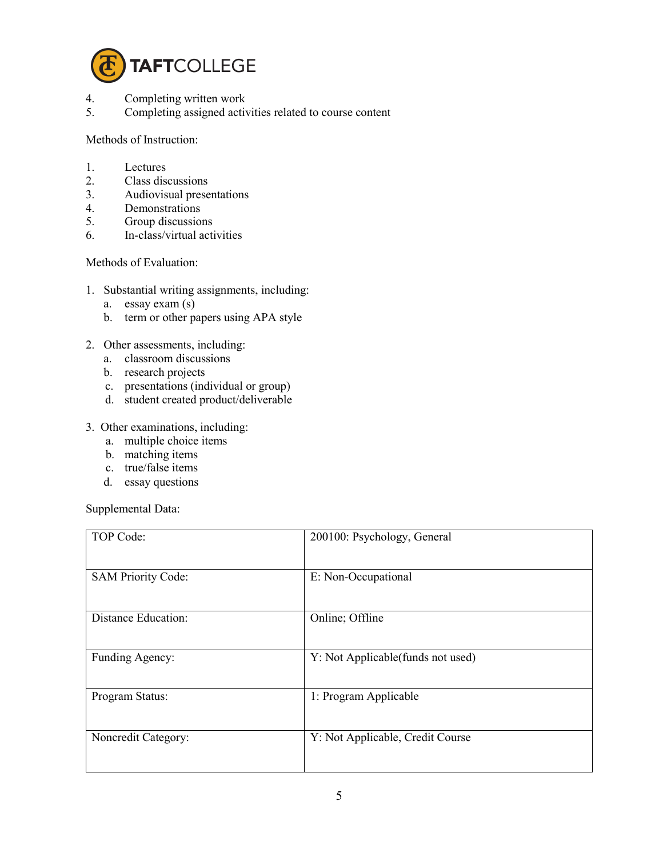

- 4. Completing written work
- 5. Completing assigned activities related to course content

Methods of Instruction:

- 1. Lectures
- 2. Class discussions<br>3. Audiovisual prese
- 3. Audiovisual presentations
- 4. Demonstrations<br>5. Group discussion
- 5. Group discussions
- 6. In-class/virtual activities

Methods of Evaluation:

- 1. Substantial writing assignments, including:
	- a. essay exam (s)
	- b. term or other papers using APA style
- 2. Other assessments, including:
	- a. classroom discussions
	- b. research projects
	- c. presentations (individual or group)
	- d. student created product/deliverable
- 3. Other examinations, including:
	- a. multiple choice items
	- b. matching items
	- c. true/false items
	- d. essay questions

Supplemental Data:

| TOP Code:                 | 200100: Psychology, General       |
|---------------------------|-----------------------------------|
| <b>SAM Priority Code:</b> | E: Non-Occupational               |
| Distance Education:       | Online; Offline                   |
| Funding Agency:           | Y: Not Applicable(funds not used) |
| Program Status:           | 1: Program Applicable             |
| Noncredit Category:       | Y: Not Applicable, Credit Course  |